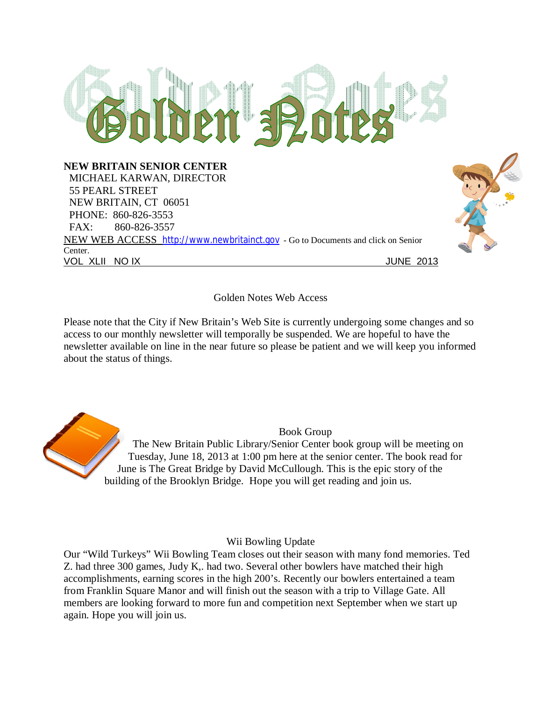

# Golden Notes Web Access

Please note that the City if New Britain's Web Site is currently undergoing some changes and so access to our monthly newsletter will temporally be suspended. We are hopeful to have the newsletter available on line in the near future so please be patient and we will keep you informed about the status of things.

Book Group The New Britain Public Library/Senior Center book group will be meeting on Tuesday, June 18, 2013 at 1:00 pm here at the senior center. The book read for June is The Great Bridge by David McCullough. This is the epic story of the building of the Brooklyn Bridge. Hope you will get reading and join us.

# Wii Bowling Update

Our "Wild Turkeys" Wii Bowling Team closes out their season with many fond memories. Ted Z. had three 300 games, Judy K,. had two. Several other bowlers have matched their high accomplishments, earning scores in the high 200's. Recently our bowlers entertained a team from Franklin Square Manor and will finish out the season with a trip to Village Gate. All members are looking forward to more fun and competition next September when we start up again. Hope you will join us.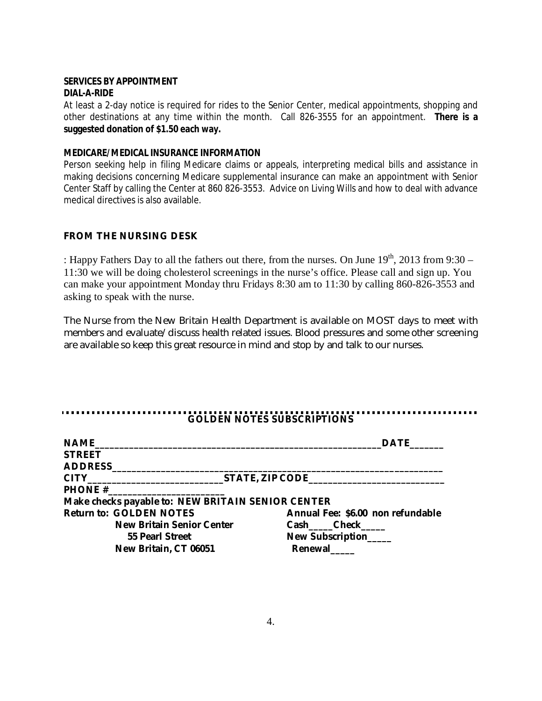### **SERVICES BY APPOINTMENT DIAL-A-RIDE**

At least a 2-day notice is required for rides to the Senior Center, medical appointments, shopping and other destinations at any time within the month. Call 826-3555 for an appointment. **There is a suggested donation of \$1.50 each way.**

### **MEDICARE/MEDICAL INSURANCE INFORMATION**

Person seeking help in filing Medicare claims or appeals, interpreting medical bills and assistance in making decisions concerning Medicare supplemental insurance can make an appointment with Senior Center Staff by calling the Center at 860 826-3553. Advice on Living Wills and how to deal with advance medical directives is also available.

# **FROM THE NURSING DESK**

: Happy Fathers Day to all the fathers out there, from the nurses. On June 19<sup>th</sup>, 2013 from 9:30 -11:30 we will be doing cholesterol screenings in the nurse's office. Please call and sign up. You can make your appointment Monday thru Fridays 8:30 am to 11:30 by calling 860-826-3553 and asking to speak with the nurse.

The Nurse from the New Britain Health Department is available on MOST days to meet with members and evaluate/discuss health related issues. Blood pressures and some other screening are available so keep this great resource in mind and stop by and talk to our nurses.

#### **GOLDEN NOTES SUBSCRIPTIONS**

| <b>NAME</b>                                       | <b>DATE</b>                       |
|---------------------------------------------------|-----------------------------------|
| <b>STREET</b>                                     |                                   |
| <b>ADDRESS</b>                                    |                                   |
|                                                   |                                   |
| <b>PHONE #</b>                                    |                                   |
| Make checks payable to: NEW BRITAIN SENIOR CENTER |                                   |
| <b>Return to: GOLDEN NOTES</b>                    | Annual Fee: \$6.00 non refundable |
| <b>New Britain Senior Center</b>                  | Cash Check                        |
| 55 Pearl Street                                   | New Subscription                  |
| New Britain, CT 06051                             | Renewal                           |